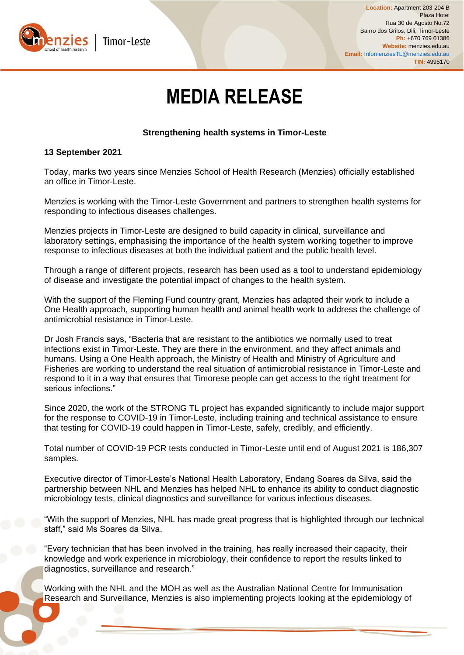

# **MEDIA RELEASE**

# **Strengthening health systems in Timor-Leste**

## **13 September 2021**

Today, marks two years since Menzies School of Health Research (Menzies) officially established an office in Timor-Leste.

Menzies is working with the Timor-Leste Government and partners to strengthen health systems for responding to infectious diseases challenges.

Menzies projects in Timor-Leste are designed to build capacity in clinical, surveillance and laboratory settings, emphasising the importance of the health system working together to improve response to infectious diseases at both the individual patient and the public health level.

Through a range of different projects, research has been used as a tool to understand epidemiology of disease and investigate the potential impact of changes to the health system.

With the support of the Fleming Fund country grant, Menzies has adapted their work to include a One Health approach, supporting human health and animal health work to address the challenge of antimicrobial resistance in Timor-Leste.

Dr Josh Francis says, "Bacteria that are resistant to the antibiotics we normally used to treat infections exist in Timor-Leste. They are there in the environment, and they affect animals and humans. Using a One Health approach, the Ministry of Health and Ministry of Agriculture and Fisheries are working to understand the real situation of antimicrobial resistance in Timor-Leste and respond to it in a way that ensures that Timorese people can get access to the right treatment for serious infections."

Since 2020, the work of the STRONG TL project has expanded significantly to include major support for the response to COVID-19 in Timor-Leste, including training and technical assistance to ensure that testing for COVID-19 could happen in Timor-Leste, safely, credibly, and efficiently.

Total number of COVID-19 PCR tests conducted in Timor-Leste until end of August 2021 is 186,307 samples.

Executive director of Timor-Leste's National Health Laboratory, Endang Soares da Silva, said the partnership between NHL and Menzies has helped NHL to enhance its ability to conduct diagnostic microbiology tests, clinical diagnostics and surveillance for various infectious diseases.

"With the support of Menzies, NHL has made great progress that is highlighted through our technical staff," said Ms Soares da Silva.

"Every technician that has been involved in the training, has really increased their capacity, their knowledge and work experience in microbiology, their confidence to report the results linked to diagnostics, surveillance and research."

Working with the NHL and the MOH as well as the Australian National Centre for Immunisation Research and Surveillance, Menzies is also implementing projects looking at the epidemiology of